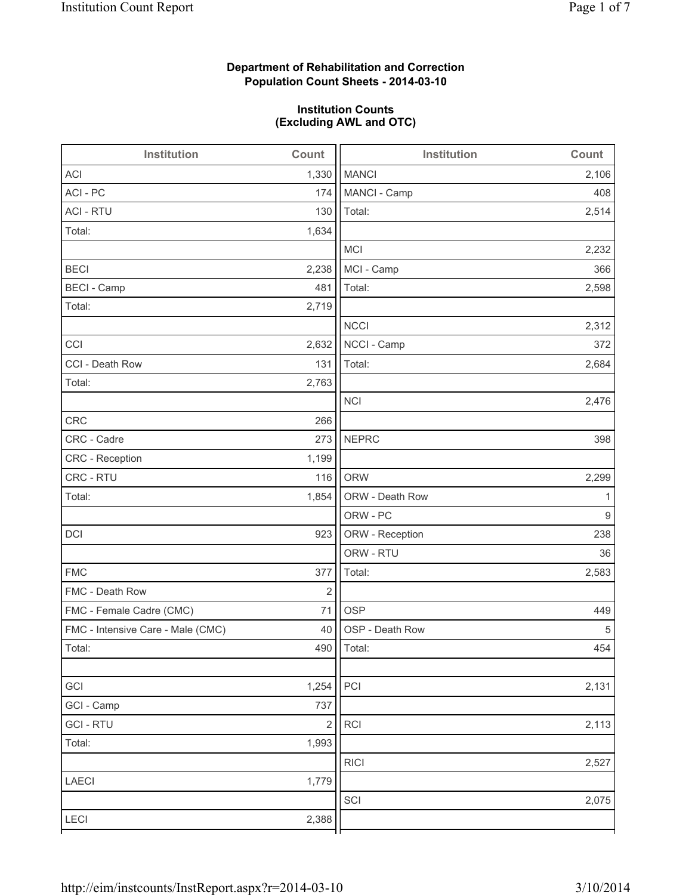# **Department of Rehabilitation and Correction Population Count Sheets - 2014-03-10**

## **Institution Counts (Excluding AWL and OTC)**

| Institution                       | Count                   | <b>Institution</b> | Count |
|-----------------------------------|-------------------------|--------------------|-------|
| <b>ACI</b>                        | 1,330                   | <b>MANCI</b>       | 2,106 |
| ACI - PC                          | 174                     | MANCI - Camp       | 408   |
| <b>ACI - RTU</b>                  | 130                     | Total:             | 2,514 |
| Total:                            | 1,634                   |                    |       |
|                                   |                         | <b>MCI</b>         | 2,232 |
| <b>BECI</b>                       | 2,238                   | MCI - Camp         | 366   |
| <b>BECI - Camp</b>                | 481                     | Total:             | 2,598 |
| Total:                            | 2,719                   |                    |       |
|                                   |                         | <b>NCCI</b>        | 2,312 |
| CCI                               | 2,632                   | NCCI - Camp        | 372   |
| CCI - Death Row                   | 131                     | Total:             | 2,684 |
| Total:                            | 2,763                   |                    |       |
|                                   |                         | <b>NCI</b>         | 2,476 |
| <b>CRC</b>                        | 266                     |                    |       |
| CRC - Cadre                       | 273                     | <b>NEPRC</b>       | 398   |
| CRC - Reception                   | 1,199                   |                    |       |
| CRC - RTU                         | 116                     | <b>ORW</b>         | 2,299 |
| Total:                            | 1,854                   | ORW - Death Row    | 1     |
|                                   |                         | ORW - PC           | 9     |
| DCI                               | 923                     | ORW - Reception    | 238   |
|                                   |                         | ORW - RTU          | 36    |
| <b>FMC</b>                        | 377                     | Total:             | 2,583 |
| FMC - Death Row                   | $\overline{c}$          |                    |       |
| FMC - Female Cadre (CMC)          | 71                      | <b>OSP</b>         | 449   |
| FMC - Intensive Care - Male (CMC) | 40                      | OSP - Death Row    | 5     |
| Total:                            |                         | 490   Total:       | 454   |
|                                   |                         |                    |       |
| GCI                               | 1,254                   | PCI                | 2,131 |
| GCI - Camp                        | 737                     |                    |       |
| <b>GCI-RTU</b>                    | $\overline{\mathbf{c}}$ | RCI                | 2,113 |
| Total:                            | 1,993                   |                    |       |
|                                   |                         | <b>RICI</b>        | 2,527 |
| LAECI                             | 1,779                   |                    |       |
|                                   |                         | SCI                | 2,075 |
| LECI                              | 2,388                   |                    |       |
|                                   |                         |                    |       |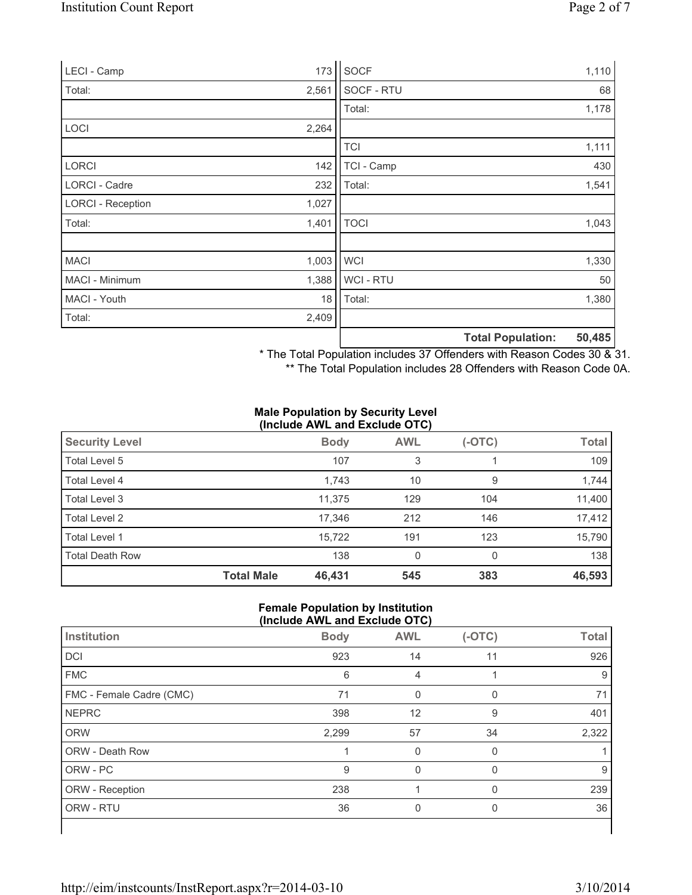| LECI - Camp              | 173   | <b>SOCF</b> |                          | 1,110  |
|--------------------------|-------|-------------|--------------------------|--------|
| Total:                   | 2,561 | SOCF - RTU  |                          | 68     |
|                          |       | Total:      |                          | 1,178  |
| <b>LOCI</b>              | 2,264 |             |                          |        |
|                          |       | <b>TCI</b>  |                          | 1,111  |
| <b>LORCI</b>             | 142   | TCI - Camp  |                          | 430    |
| LORCI - Cadre            | 232   | Total:      |                          | 1,541  |
| <b>LORCI - Reception</b> | 1,027 |             |                          |        |
| Total:                   | 1,401 | <b>TOCI</b> |                          | 1,043  |
| <b>MACI</b>              | 1,003 | <b>WCI</b>  |                          | 1,330  |
| MACI - Minimum           | 1,388 | WCI - RTU   |                          | 50     |
| MACI - Youth             | 18    | Total:      |                          | 1,380  |
| Total:                   | 2,409 |             |                          |        |
|                          |       |             | <b>Total Population:</b> | 50,485 |

\* The Total Population includes 37 Offenders with Reason Codes 30 & 31.

\*\* The Total Population includes 28 Offenders with Reason Code 0A.

#### **Male Population by Security Level (Include AWL and Exclude OTC)**

| <b>Security Level</b>  |                   | <b>Body</b> | <b>AWL</b> | $(-OTC)$ | <b>Total</b> |
|------------------------|-------------------|-------------|------------|----------|--------------|
| Total Level 5          |                   | 107         | 3          |          | 109          |
| Total Level 4          |                   | 1,743       | 10         | 9        | 1,744        |
| Total Level 3          |                   | 11.375      | 129        | 104      | 11,400       |
| Total Level 2          |                   | 17,346      | 212        | 146      | 17,412       |
| Total Level 1          |                   | 15,722      | 191        | 123      | 15,790       |
| <b>Total Death Row</b> |                   | 138         | 0          | $\Omega$ | 138          |
|                        | <b>Total Male</b> | 46,431      | 545        | 383      | 46,593       |

#### **Female Population by Institution (Include AWL and Exclude OTC)**

|                          | $(110100 \text{ A})$ |            |          |              |
|--------------------------|----------------------|------------|----------|--------------|
| Institution              | <b>Body</b>          | <b>AWL</b> | $(-OTC)$ | <b>Total</b> |
| DCI                      | 923                  | 14         | 11       | 926          |
| <b>FMC</b>               | 6                    | 4          |          | 9            |
| FMC - Female Cadre (CMC) | 71                   | 0          |          | 71           |
| <b>NEPRC</b>             | 398                  | 12         | 9        | 401          |
| <b>ORW</b>               | 2,299                | 57         | 34       | 2,322        |
| ORW - Death Row          |                      | 0          | 0        |              |
| ORW - PC                 | 9                    | $\Omega$   | $\Omega$ | 9            |
| ORW - Reception          | 238                  |            | $\Omega$ | 239          |
| ORW - RTU                | 36                   | 0          | 0        | 36           |
|                          |                      |            |          |              |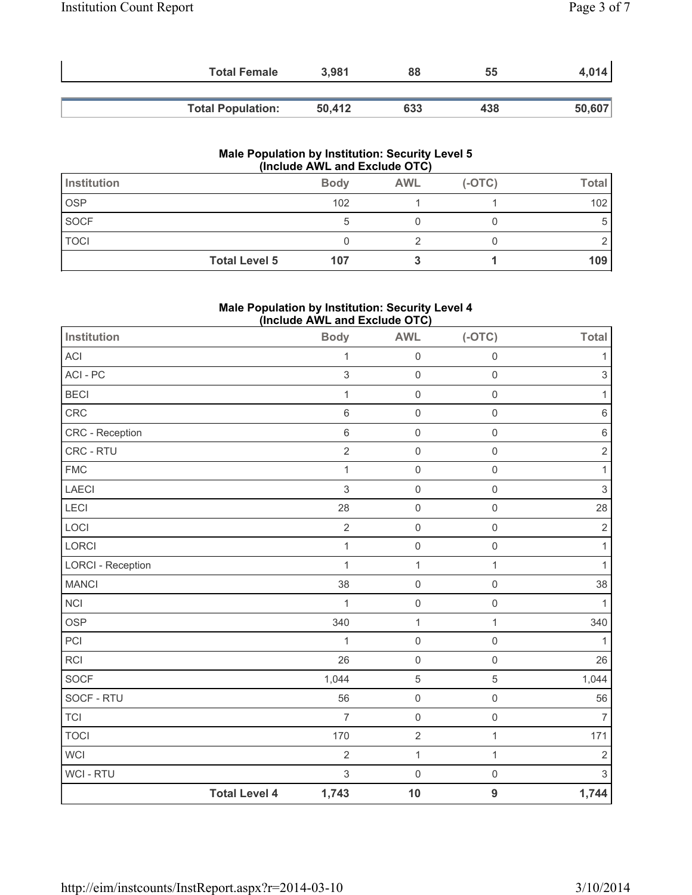| <b>Total Female</b>      | 3,981  | 88  | 55  | $1,014$ |
|--------------------------|--------|-----|-----|---------|
| <b>Total Population:</b> | 50.412 | 633 | 438 | 50,607  |

#### **Male Population by Institution: Security Level 5 (Include AWL and Exclude OTC)**

| Institution |                      | <b>Body</b> | <b>AWL</b> | $(-OTC)$ | Total |
|-------------|----------------------|-------------|------------|----------|-------|
| <b>OSP</b>  |                      | 102         |            |          | 102   |
| <b>SOCF</b> |                      | G           |            |          | 5     |
| <b>TOCI</b> |                      |             |            |          |       |
|             | <b>Total Level 5</b> | 107         |            |          | 109   |

## **Male Population by Institution: Security Level 4 (Include AWL and Exclude OTC)**

| Institution              |                      | =<br><b>Body</b> | . ,<br><b>AWL</b>   | $(-OTC)$            | <b>Total</b>              |
|--------------------------|----------------------|------------------|---------------------|---------------------|---------------------------|
| ACI                      |                      | $\mathbf{1}$     | $\mathsf{O}\xspace$ | $\mathsf{O}\xspace$ | 1                         |
| ACI - PC                 |                      | 3                | $\mathbf 0$         | $\mathsf{O}\xspace$ | $\mathsf 3$               |
| <b>BECI</b>              |                      | $\mathbf 1$      | $\mathsf{O}\xspace$ | $\mathsf{O}\xspace$ | 1                         |
| CRC                      |                      | $\,$ 6 $\,$      | $\mathsf 0$         | $\mathsf{O}\xspace$ | $\,6\,$                   |
| CRC - Reception          |                      | $\,$ 6 $\,$      | $\mathsf 0$         | $\mathsf{O}\xspace$ | $\,6\,$                   |
| CRC - RTU                |                      | $\overline{c}$   | $\mathsf 0$         | $\mathsf 0$         | $\sqrt{2}$                |
| <b>FMC</b>               |                      | $\mathbf{1}$     | $\mathsf{O}\xspace$ | $\mathbf 0$         | 1                         |
| LAECI                    |                      | 3                | $\mathsf{O}\xspace$ | $\mathsf 0$         | $\ensuremath{\mathsf{3}}$ |
| <b>LECI</b>              |                      | 28               | $\mathsf{O}\xspace$ | $\mathsf 0$         | 28                        |
| LOCI                     |                      | $\overline{2}$   | $\mathsf 0$         | $\mathbf 0$         | $\mathbf 2$               |
| LORCI                    |                      | $\mathbf 1$      | $\mathsf{O}\xspace$ | $\mathsf{O}\xspace$ | 1                         |
| <b>LORCI - Reception</b> |                      | 1                | 1                   | $\mathbf{1}$        | 1                         |
| <b>MANCI</b>             |                      | 38               | $\mathsf{O}\xspace$ | $\mathsf{O}\xspace$ | 38                        |
| $\sf NCI$                |                      | $\mathbf{1}$     | $\mathsf{O}\xspace$ | $\mathsf{O}\xspace$ | 1                         |
| <b>OSP</b>               |                      | 340              | $\mathbf{1}$        | $\mathbf{1}$        | 340                       |
| PCI                      |                      | 1                | $\mathsf{O}\xspace$ | $\mathsf{O}\xspace$ | 1                         |
| <b>RCI</b>               |                      | 26               | $\mathsf 0$         | $\mathsf{O}\xspace$ | 26                        |
| SOCF                     |                      | 1,044            | $\sqrt{5}$          | $\overline{5}$      | 1,044                     |
| SOCF - RTU               |                      | 56               | $\mathsf 0$         | $\mathsf{O}\xspace$ | 56                        |
| <b>TCI</b>               |                      | $\overline{7}$   | $\mathsf{O}\xspace$ | $\mathbf 0$         | $\overline{7}$            |
| <b>TOCI</b>              |                      | 170              | $\sqrt{2}$          | $\mathbf{1}$        | 171                       |
| <b>WCI</b>               |                      | $\overline{2}$   | $\mathbf{1}$        | $\mathbf{1}$        | $\overline{2}$            |
| <b>WCI - RTU</b>         |                      | 3                | $\mathsf{O}\xspace$ | $\mathsf{O}\xspace$ | $\mathfrak{S}$            |
|                          | <b>Total Level 4</b> | 1,743            | 10                  | $\overline{9}$      | 1,744                     |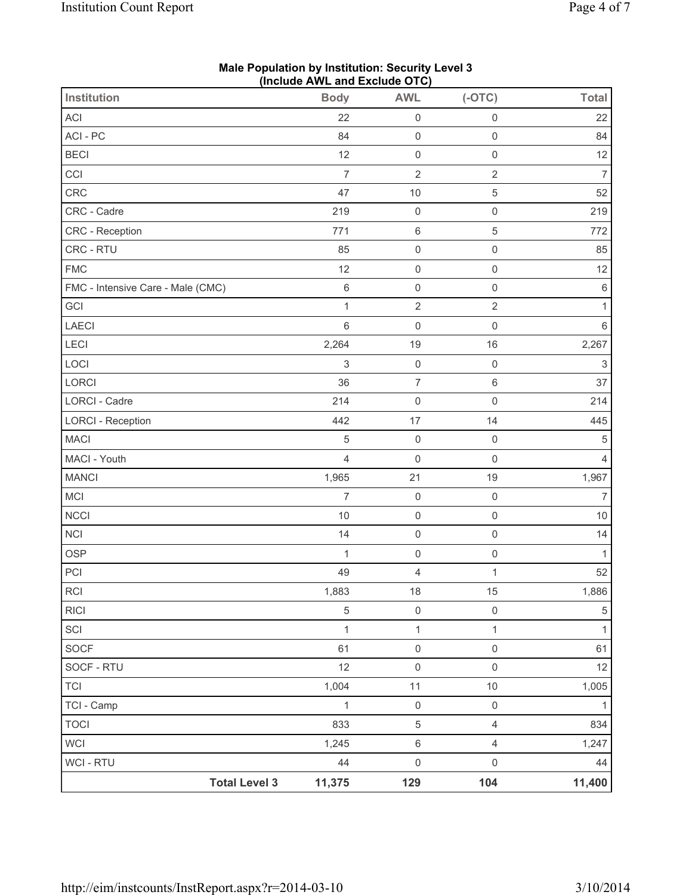| Institution                       | (iliciude Avvic aliu Exclude OTO)<br><b>Body</b> | <b>AWL</b>               | $(-OTC)$            | <b>Total</b>              |
|-----------------------------------|--------------------------------------------------|--------------------------|---------------------|---------------------------|
| ACI                               | 22                                               | $\mathsf 0$              | $\mathsf{O}\xspace$ | 22                        |
| ACI-PC                            | 84                                               | $\mathsf{O}\xspace$      | $\mathsf{O}\xspace$ | 84                        |
| <b>BECI</b>                       | 12                                               | $\mathsf{O}\xspace$      | $\mathsf 0$         | 12                        |
| CCI                               | $\overline{7}$                                   | $\sqrt{2}$               | $\sqrt{2}$          | $\overline{7}$            |
| CRC                               | 47                                               | $10$                     | $\sqrt{5}$          | 52                        |
| CRC - Cadre                       | 219                                              | $\mathsf 0$              | $\mathsf{O}\xspace$ | 219                       |
| <b>CRC</b> - Reception            | 771                                              | $\,6\,$                  | $\sqrt{5}$          | 772                       |
| CRC - RTU                         | 85                                               | $\mathsf{O}\xspace$      | $\mathsf 0$         | 85                        |
| <b>FMC</b>                        | 12                                               | $\mathsf 0$              | $\mathsf 0$         | 12                        |
| FMC - Intensive Care - Male (CMC) | $\,6\,$                                          | $\mathsf 0$              | $\mathsf{O}\xspace$ | $\,6\,$                   |
| GCI                               | $\mathbf{1}$                                     | $\overline{2}$           | $\overline{2}$      | $\mathbf{1}$              |
| <b>LAECI</b>                      | 6                                                | $\mathsf 0$              | $\mathsf{O}\xspace$ | $\,6\,$                   |
| <b>LECI</b>                       | 2,264                                            | 19                       | 16                  | 2,267                     |
| LOCI                              | $\ensuremath{\mathsf{3}}$                        | $\mathsf 0$              | $\mathsf 0$         | $\ensuremath{\mathsf{3}}$ |
| LORCI                             | 36                                               | $\overline{\mathcal{I}}$ | 6                   | 37                        |
| LORCI - Cadre                     | 214                                              | $\mathsf 0$              | $\mathsf{O}\xspace$ | 214                       |
| <b>LORCI - Reception</b>          | 442                                              | 17                       | 14                  | 445                       |
| <b>MACI</b>                       | 5                                                | $\mathsf{O}\xspace$      | $\mathsf{O}\xspace$ | $\,$ 5 $\,$               |
| MACI - Youth                      | $\overline{4}$                                   | $\mathsf 0$              | $\mathsf 0$         | 4                         |
| <b>MANCI</b>                      | 1,965                                            | 21                       | 19                  | 1,967                     |
| MCI                               | $\overline{7}$                                   | $\mathsf 0$              | $\mathsf 0$         | $\overline{7}$            |
| <b>NCCI</b>                       | $10$                                             | $\mathsf 0$              | $\mathsf{O}\xspace$ | $10$                      |
| <b>NCI</b>                        | 14                                               | $\mathsf{O}\xspace$      | $\mathsf{O}\xspace$ | 14                        |
| <b>OSP</b>                        | $\mathbf{1}$                                     | $\mathsf{O}\xspace$      | $\mathsf 0$         | $\mathbf{1}$              |
| PCI                               | 49                                               | $\overline{4}$           | $\mathbf 1$         | 52                        |
| RCI                               | 1,883                                            | 18                       | 15                  | 1,886                     |
| <b>RICI</b>                       | $\sqrt{5}$                                       | $\mathsf 0$              | $\mathsf{O}\xspace$ | $\,$ 5 $\,$               |
| SCI                               | $\mathbf{1}$                                     | $\mathbf{1}$             | $\mathbf{1}$        | $\mathbf{1}$              |
| <b>SOCF</b>                       | 61                                               | $\mathsf{O}\xspace$      | $\mathsf{O}\xspace$ | 61                        |
| SOCF - RTU                        | 12                                               | $\mathsf 0$              | $\mathsf{O}\xspace$ | 12                        |
| <b>TCI</b>                        | 1,004                                            | $11$                     | $10$                | 1,005                     |
| TCI - Camp                        | $\mathbf 1$                                      | $\mathsf{O}\xspace$      | $\mathsf 0$         | $\mathbf{1}$              |
| <b>TOCI</b>                       | 833                                              | $\sqrt{5}$               | $\overline{4}$      | 834                       |
| <b>WCI</b>                        | 1,245                                            | $\,6\,$                  | $\overline{4}$      | 1,247                     |
| <b>WCI - RTU</b>                  | 44                                               | $\mathsf 0$              | $\mathsf{O}\xspace$ | 44                        |
| <b>Total Level 3</b>              | 11,375                                           | 129                      | 104                 | 11,400                    |

#### **Male Population by Institution: Security Level 3 (Include AWL and Exclude OTC)**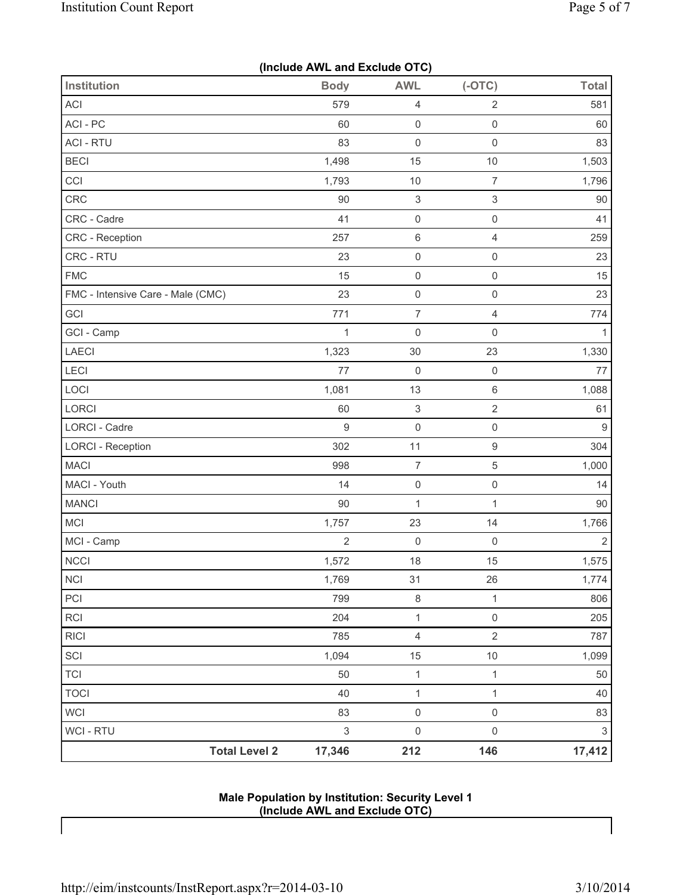|  |  |  | (Include AWL and Exclude OTC) |  |
|--|--|--|-------------------------------|--|
|--|--|--|-------------------------------|--|

| Institution                       | <b>Body</b>               | <b>AWL</b>                | $(-OTC)$                  | <b>Total</b>              |
|-----------------------------------|---------------------------|---------------------------|---------------------------|---------------------------|
| <b>ACI</b>                        | 579                       | 4                         | $\sqrt{2}$                | 581                       |
| ACI - PC                          | 60                        | $\mathsf{O}\xspace$       | $\mathsf 0$               | 60                        |
| <b>ACI - RTU</b>                  | 83                        | $\mathsf{O}\xspace$       | $\mathsf 0$               | 83                        |
| <b>BECI</b>                       | 1,498                     | 15                        | 10                        | 1,503                     |
| CCI                               | 1,793                     | $10$                      | $\overline{7}$            | 1,796                     |
| CRC                               | 90                        | $\ensuremath{\mathsf{3}}$ | $\ensuremath{\mathsf{3}}$ | 90                        |
| CRC - Cadre                       | 41                        | $\mathsf 0$               | $\mathsf 0$               | 41                        |
| CRC - Reception                   | 257                       | $\,6\,$                   | $\overline{4}$            | 259                       |
| CRC - RTU                         | 23                        | $\mathsf{O}\xspace$       | $\mathsf 0$               | 23                        |
| <b>FMC</b>                        | 15                        | $\mathsf 0$               | $\mathsf{O}\xspace$       | 15                        |
| FMC - Intensive Care - Male (CMC) | 23                        | $\mathsf 0$               | $\mathsf 0$               | 23                        |
| GCI                               | 771                       | $\overline{7}$            | $\overline{4}$            | 774                       |
| GCI - Camp                        | $\mathbf{1}$              | $\mathsf{O}\xspace$       | $\mathsf{O}\xspace$       | 1                         |
| LAECI                             | 1,323                     | 30                        | 23                        | 1,330                     |
| LECI                              | 77                        | $\mathsf 0$               | $\mathsf{O}\xspace$       | 77                        |
| LOCI                              | 1,081                     | 13                        | $\,6\,$                   | 1,088                     |
| LORCI                             | 60                        | 3                         | $\sqrt{2}$                | 61                        |
| <b>LORCI - Cadre</b>              | 9                         | $\mathsf 0$               | $\mathsf{O}\xspace$       | 9                         |
| <b>LORCI - Reception</b>          | 302                       | 11                        | $\boldsymbol{9}$          | 304                       |
| <b>MACI</b>                       | 998                       | $\overline{7}$            | $\sqrt{5}$                | 1,000                     |
| MACI - Youth                      | 14                        | $\mathsf{O}\xspace$       | $\mathsf{O}\xspace$       | 14                        |
| <b>MANCI</b>                      | 90                        | $\mathbf{1}$              | 1                         | 90                        |
| MCI                               | 1,757                     | 23                        | 14                        | 1,766                     |
| MCI - Camp                        | $\overline{2}$            | $\mathsf{O}\xspace$       | $\mathbf 0$               | $\overline{2}$            |
| <b>NCCI</b>                       | 1,572                     | 18                        | 15                        | 1,575                     |
| <b>NCI</b>                        | 1,769                     | 31                        | 26                        | 1,774                     |
| PCI                               | 799                       | 8                         | $\mathbf{1}$              | 806                       |
| RCI                               | 204                       | $\mathbf{1}$              | $\mathsf{O}\xspace$       | 205                       |
| <b>RICI</b>                       | 785                       | $\overline{4}$            | $\sqrt{2}$                | 787                       |
| SCI                               | 1,094                     | 15                        | $10$                      | 1,099                     |
| <b>TCI</b>                        | 50                        | $\mathbf{1}$              | $\mathbf{1}$              | 50                        |
| <b>TOCI</b>                       | 40                        | $\mathbf{1}$              | $\mathbf{1}$              | 40                        |
| WCI                               | 83                        | $\mathsf 0$               | $\mathsf 0$               | 83                        |
| WCI - RTU                         | $\ensuremath{\mathsf{3}}$ | $\mathsf{O}\xspace$       | $\mathsf{O}\xspace$       | $\ensuremath{\mathsf{3}}$ |
| <b>Total Level 2</b>              | 17,346                    | 212                       | 146                       | 17,412                    |

**Male Population by Institution: Security Level 1 (Include AWL and Exclude OTC)** 

 $\mathbf{I}$